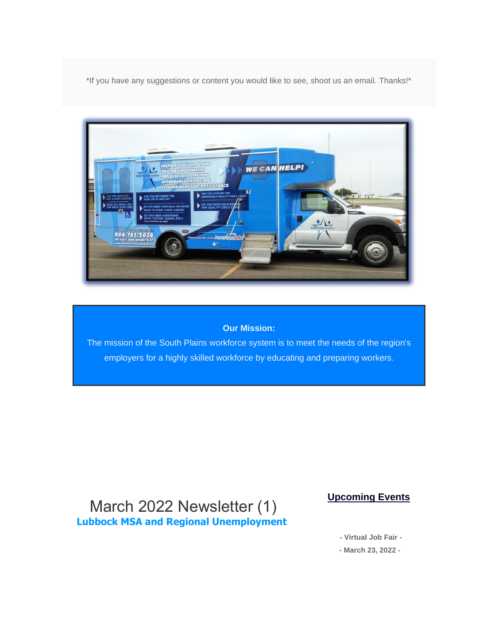\*If you have any suggestions or content you would like to see, shoot us an email. Thanks!\*



#### **Our Mission:**

The mission of the South Plains workforce system is to meet the needs of the region's employers for a highly skilled workforce by educating and preparing workers.

#### March 2022 Newsletter (1) **Lubbock MSA and Regional Unemployment**

**Upcoming Events** 

**- Virtual Job Fair -**

**- March 23, 2022 -**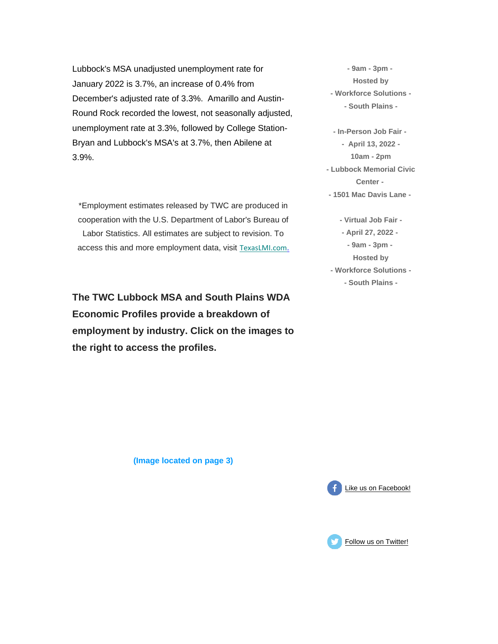Lubbock's MSA unadjusted unemployment rate for January 2022 is 3.7%, an increase of 0.4% from December's adjusted rate of 3.3%. Amarillo and Austin-Round Rock recorded the lowest, not seasonally adjusted, unemployment rate at 3.3%, followed by College Station-Bryan and Lubbock's MSA's at 3.7%, then Abilene at 3.9%.

\*Employment estimates released by TWC are produced in cooperation with the U.S. Department of Labor's Bureau of Labor Statistics. All estimates are subject to revision. To access this and more employment data, visit [T](https://spworkforce.us12.list-manage.com/track/click?u=385d6e09e627cad3fffc9d93f&id=f76809e1de&e=516b2a2ead)[exasLMI.com](https://spworkforce.us12.list-manage.com/track/click?u=385d6e09e627cad3fffc9d93f&id=e8bba3fdde&e=516b2a2ead)[.](https://spworkforce.us12.list-manage.com/track/click?u=385d6e09e627cad3fffc9d93f&id=1f86ecfe0c&e=516b2a2ead)

**The TWC Lubbock MSA and South Plains WDA Economic Profiles provide a breakdown of employment by industry. Click on the images to the right to access the profiles.**

**- 9am - 3pm - Hosted by - Workforce Solutions - - South Plains -**

**- In-Person Job Fair - - April 13, 2022 - 10am - 2pm - Lubbock Memorial Civic Center - - 1501 Mac Davis Lane -**

**- Virtual Job Fair - - April 27, 2022 - - 9am - 3pm - Hosted by - Workforce Solutions - - South Plains -**

**(Image located on page 3)**



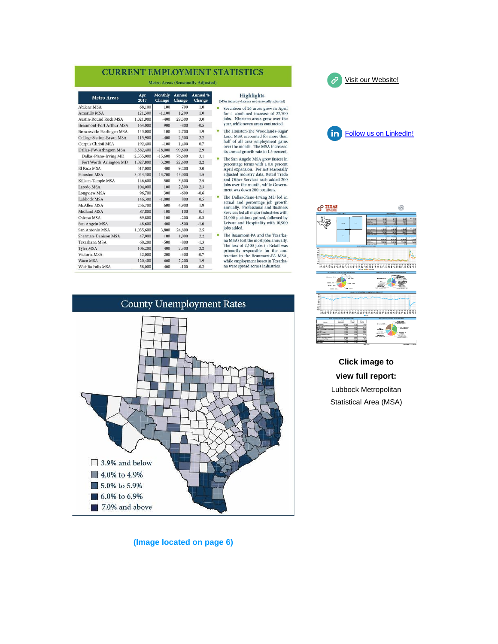#### **CURRENT EMPLOYMENT STATISTICS**

Metro Areas (Seasonally Adjusted)

| <b>Metro Areas</b>               | Apr<br>2017 | Monthly<br>Change | Annual<br>Change | Annual %<br>Change |  |
|----------------------------------|-------------|-------------------|------------------|--------------------|--|
| <b>Abilene MSA</b>               | 68,100      | 100               | 700              | 1.0                |  |
| Amarillo MSA                     | 121,300     | $-1,100$          | 1.200            | 1.0                |  |
| <b>Austin-Round Rock MSA</b>     | 1,021,900   | $-400$            | 29,300           | 3.0                |  |
| <b>Beaumont-Port Arthur MSA</b>  | 164,000     | 900               | $-800$           | $-0.5$             |  |
| Brownsville-Harlingen MSA        | 143,000     | 100               | 2,700            | 1.9                |  |
| <b>College Station-Bryan MSA</b> | 115,900     | $-400$            | 2,500            | 2.2                |  |
| Corpus Christi MSA               | 192,400     | $-100$            | 1,400            | 0.7                |  |
| Dallas-FW-Arlington MSA          | 3,582,400   | $-18,000$         | 99,600           | 2.9                |  |
| Dallas-Plano-Irving MD           | 2,555,000   | $-15,600$         | 76,600           | 3.1                |  |
| Fort Worth-Arlington MD          | 1,027,800   | $-3,200$          | 22,600           | 2.2                |  |
| El Paso MSA                      | 317,000     | 400               | 9,200            | 3.0                |  |
| <b>Houston MSA</b>               | 3,044,300   | 13,700            | 44,000           | 1.5                |  |
| Killeen-Temple MSA               | 146,600     | 500               | 3,600            | 2.5                |  |
| Laredo MSA                       | 104,000     | 100               | 2,300            | 2.3                |  |
| <b>Longview MSA</b>              | 96,700      | 300               | $-600$           | $-0.6$             |  |
| Lubbock MSA                      | 146,300     | $-1,000$          | 800              | 0.5                |  |
| <b>McAllen MSA</b>               | 256,700     | 600               | 4,900            | 1.9                |  |
| <b>Midland MSA</b>               | 87,800      | $-100$            | 100              | 0.1                |  |
| Odessa MSA                       | 69,800      | 100               | $-200$           | $-0.3$             |  |
| San Angelo MSA                   | 48,600      | 400               | $-500$           | $-1.0$             |  |
| San Antonio MSA                  | 1,035,600   | 3,800             | 24,800           | 2.5                |  |
| Sherman-Denison MSA              | 47,000      | 100               | 1,000            | 2.2                |  |
| Texarkana MSA                    | 60,200      | $-500$            | $-800$           | $-1.3$             |  |
| <b>Tyler MSA</b>                 | 106,200     | 400               | 2,300            | 2.2                |  |
| Victoria MSA                     | 42,000      | 200               | $-300$           | $-0.7$             |  |
| Waco MSA                         | 120,400     | 600               | 2,200            | 1.9                |  |
| Wichita Falls MSA                | 58,000      | 400               | $-100$           | $-0.2$             |  |

#### Highlights

- industry data sonally adjusted) venteen of 26 areas grew in April<br>r a combined increase of 22,700<br>os. Nineteen areas grew over the ar, while seven areas contracted.
- e Houston-The Woodlands-Sugar<br>nd MSA accounted for more than If of all area employment gains<br>er the month. The MSA increased annual growth rate to 1.5 percent.
- e San Angelo MSA grew fastest in is our Anglor Moos give masses in<br>the algebra of the second special experimental and the prince of the<br>plijusted industry data, Retail Trade and do the Services each added 200<br>bs over the month, while Govern-<br>ent was down
- Find Dalas-Plano-Irving MD led in<br>the Dallas-Plano-Irving MD led in<br>titual and percentage job growth<br>nnually. Professional and Business<br>privices led all major industries with<br>1,000 positions gained, followed by<br>eisure and
- he Beaumont-PA and the Texarka-<br>a MSAs lost the most jobs annually.<br>he loss of 2,100 jobs in Retail was imarily responsible for the con-<br>action in the Beaumont-PA MSA, nile employment losses in Texarka-<br>were spread across industries.





[Visit our Website!](https://spworkforce.us12.list-manage.com/track/click?u=385d6e09e627cad3fffc9d93f&id=ff89e8117f&e=516b2a2ead)

ĉ



**Click image to view full report:** Lubbock Metropolitan Statistical Area (MSA)

**(Image located on page 6)**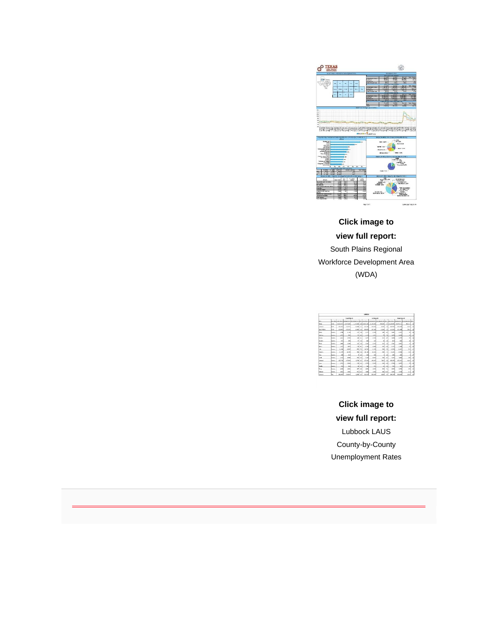

**Click image to view full report:** South Plains Regional Workforce Development Area (WDA)

| <b>ILERCES</b>        |                |              |                |            |        |                 |            |                                                                                                                  |      |                |            |              |                          |  |
|-----------------------|----------------|--------------|----------------|------------|--------|-----------------|------------|------------------------------------------------------------------------------------------------------------------|------|----------------|------------|--------------|--------------------------|--|
|                       |                |              | Amerikan 28    |            |        | Crivitar 23     |            |                                                                                                                  |      | Nonerhand F    |            |              |                          |  |
| <b>Arry</b>           |                |              |                |            |        |                 |            | des besitzte territoiren et ingenieuren ingeliche territoiren ingenieuren ingeliche Ausglaussen ingenieuren inge |      |                |            |              |                          |  |
| box.                  | <b>Kome</b>    | 14204-020    | 13,075,304     |            |        | LINES AGAINS OF | 13,143,834 | 49.56                                                                                                            |      | <b>CENSING</b> | 13,799,817 | 49.312       | M.                       |  |
| <b>About</b>          | have           | 14789        | <b>VSR POW</b> | 10,906     | ٠<br>× | 562.64          | T14 PHR    | 8.555                                                                                                            | 14   | 114, 174       | 193,749    | 4.UV         | he                       |  |
| <b>Grunt District</b> | hi Fa          | <b>DOM/K</b> | 185,335        | 13.808     | 69     | 306.051         | 12, 20     | 13,300                                                                                                           | 13   | 311, 292       | 205,000    | 5.912        | $^{24}$                  |  |
| <b>Builder</b>        | <b>Dorn</b>    | 1290         | 1.100          | 100        | 14     | 2.372           | 2,200      | yes)                                                                                                             | 4.9  | 2,419          | 2,713      | m.           | $\overline{\mathbf{u}}$  |  |
| Shaftran              | Kauris         | LON          | <b>ALC Y</b>   | sol.       | A/A    | <b>LEM</b>      | 1.36       | $\sim$                                                                                                           | 3.6  | List           | 1,499      | x4           | 3.                       |  |
| <b>Dreifer</b>        | Course         | 2407         | 3.300          | 14W        | 4.0    | 5.00            | 3.916      | <b>YM</b>                                                                                                        | ×.   | 749            | 2.829      | w            | 54                       |  |
| <b>Salara</b>         | Kears          | <b>CH</b>    | <b>MA</b>      |            | 45.38  | 663             | 93         | <b>a</b>                                                                                                         | 5.40 | <b>CO</b>      | CH.        | ×            | $\vee$                   |  |
| No.4                  | Keurs          | 7.440        | 1.354          | 56         | t/s    | $h$ 5/1         | 3.576      | XX                                                                                                               | 18   | 1,110          | 1,439      | $\mathbf{H}$ | 58                       |  |
| <b>Sario</b>          | Guina          | 2.11         | 1.40           | 10         | A.     | 22.84           | 2.30       | 10                                                                                                               | 6.6  | 3,155          | 7.330      | мł           | 26                       |  |
| <b>SAL</b>            | Kern           | 11,436       | 10,807         | m          | 25     | 11703           | 11,508     | ct4                                                                                                              | 14   | 11,916         | 11,437     | 21           | A3                       |  |
| <b>Salting</b>        | General        | 11.199       | 10.209         |            | mg xx  | 11145           | 14, 619    | <b>NH</b>                                                                                                        | 12   | 11,218         | 1119       | <b>KY</b>    | $^{12}$                  |  |
| <b>Kra</b>            | Kourn          | 156          | 86             | s          | 28     | 237             | 200        | ٠                                                                                                                | 13   | 2N             | 38         | ×            | D                        |  |
| <b>MA</b>             | <b>Country</b> | <b>STREE</b> | 4,500          | mo.        | 4.9    | 5,998           | a seri     | <b>Note</b>                                                                                                      | 4.9  | 1.116          | <b>UW</b>  | sa'd         | $\mathbf{A}$             |  |
| <b>About</b>          | Kaura          | 152726       | 147, 259       | 4,206      | $\leq$ | 153,243         | 16.30      | 1,615                                                                                                            | 14   | 155,256        | 155,181    | <b>CELL</b>  | $\overline{\mathcal{M}}$ |  |
| <b>Servi</b>          | <b>Kern</b>    | 3729         | 2.510          | <b>SHE</b> | 44     | 2721            | 2.853      | yw.                                                                                                              | ×.   | 2,216          | 2,671      | zd           | 28                       |  |
| <b>Ventory</b>        | Kearn          | AND          | $^{2}$         | zd.        | 3.9    | ACL             | $\sim$     | 24 <sup>1</sup>                                                                                                  | 4.9  | $^{12}$        | <b>CO</b>  | ×.           | $\lambda$                |  |
| <b>Texas</b>          | <b>Country</b> | 1320         | <b>A RD</b>    | ed.        | ××     | e se            | 4,500      | v.                                                                                                               | 11   | <b>CAN</b>     | A YW       | <b>TVI</b>   | 55                       |  |
| <b>NAMES</b>          | Kaura          | isi          | 3,550          |            | 920.8  | 2.96            | 1.93       | era1                                                                                                             | 16.6 | 3.640          | 3.526      | <b>UU</b>    | $\lambda$                |  |
| <b>About</b>          | kw.            | 11109        | \$14,500       | a mal a    | ٠      | 113,518         | TH MM      | a see l                                                                                                          | 1.4  | 136,576        | 193490     | a sual       | 16 <sup></sup>           |  |

**Click image to view full report:**  Lubbock LAUS County-by-County Unemployment Rates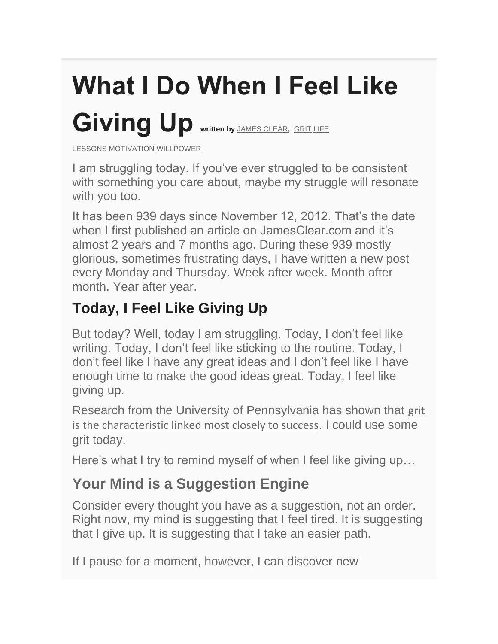# **What I Do When I Feel Like**  Giving Up written by [JAMES CLEAR](https://spworkforce.us12.list-manage.com/track/click?u=385d6e09e627cad3fffc9d93f&id=446d079fce&e=516b2a2ead), [GRIT](https://spworkforce.us12.list-manage.com/track/click?u=385d6e09e627cad3fffc9d93f&id=45e06721c0&e=516b2a2ead) LIFE

[LESSONS](https://spworkforce.us12.list-manage.com/track/click?u=385d6e09e627cad3fffc9d93f&id=052de6ada5&e=516b2a2ead) [MOTIVATION](https://spworkforce.us12.list-manage.com/track/click?u=385d6e09e627cad3fffc9d93f&id=9ef507eb5f&e=516b2a2ead) [WILLPOWER](https://spworkforce.us12.list-manage.com/track/click?u=385d6e09e627cad3fffc9d93f&id=652bbcef74&e=516b2a2ead)

I am struggling today. If you've ever struggled to be consistent with something you care about, maybe my struggle will resonate with you too.

It has been 939 days since November 12, 2012. That's the date when I first published an article on JamesClear.com and it's almost 2 years and 7 months ago. During these 939 mostly glorious, sometimes frustrating days, I have written a new post every Monday and Thursday. Week after week. Month after month. Year after year.

# **Today, I Feel Like Giving Up**

But today? Well, today I am struggling. Today, I don't feel like writing. Today, I don't feel like sticking to the routine. Today, I don't feel like I have any great ideas and I don't feel like I have enough time to make the good ideas great. Today, I feel like giving up.

Research from the University of Pennsylvania has shown that [grit](https://spworkforce.us12.list-manage.com/track/click?u=385d6e09e627cad3fffc9d93f&id=fd318a519d&e=516b2a2ead)  [is the characteristic linked most closely to success](https://spworkforce.us12.list-manage.com/track/click?u=385d6e09e627cad3fffc9d93f&id=fd318a519d&e=516b2a2ead). I could use some grit today.

Here's what I try to remind myself of when I feel like giving up...

## **Your Mind is a Suggestion Engine**

Consider every thought you have as a suggestion, not an order. Right now, my mind is suggesting that I feel tired. It is suggesting that I give up. It is suggesting that I take an easier path.

If I pause for a moment, however, I can discover new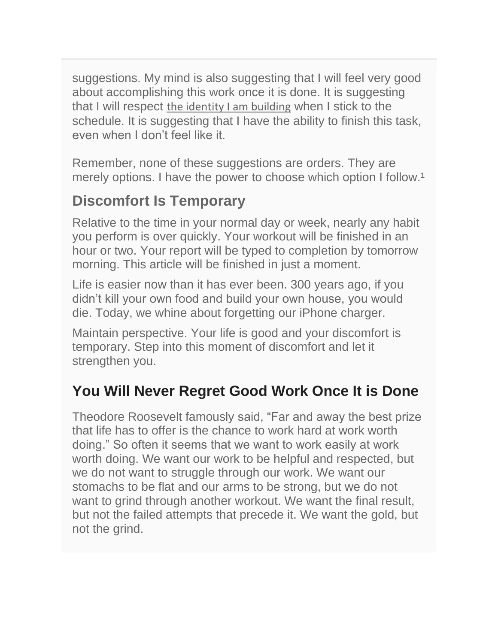suggestions. My mind is also suggesting that I will feel very good about accomplishing this work once it is done. It is suggesting that I will respect [the identity I am building](https://spworkforce.us12.list-manage.com/track/click?u=385d6e09e627cad3fffc9d93f&id=27bbc301c5&e=516b2a2ead) when I stick to the schedule. It is suggesting that I have the ability to finish this task, even when I don't feel like it.

Remember, none of these suggestions are orders. They are merely options. I have the power to choose which option I follow.<sup>1</sup>

#### **Discomfort Is Temporary**

Relative to the time in your normal day or week, nearly any habit you perform is over quickly. Your workout will be finished in an hour or two. Your report will be typed to completion by tomorrow morning. This article will be finished in just a moment.

Life is easier now than it has ever been. 300 years ago, if you didn't kill your own food and build your own house, you would die. Today, we whine about forgetting our iPhone charger.

Maintain perspective. Your life is good and your discomfort is temporary. Step into this moment of discomfort and let it strengthen you.

### **You Will Never Regret Good Work Once It is Done**

Theodore Roosevelt famously said, "Far and away the best prize that life has to offer is the chance to work hard at work worth doing." So often it seems that we want to work easily at work worth doing. We want our work to be helpful and respected, but we do not want to struggle through our work. We want our stomachs to be flat and our arms to be strong, but we do not want to grind through another workout. We want the final result, but not the failed attempts that precede it. We want the gold, but not the grind.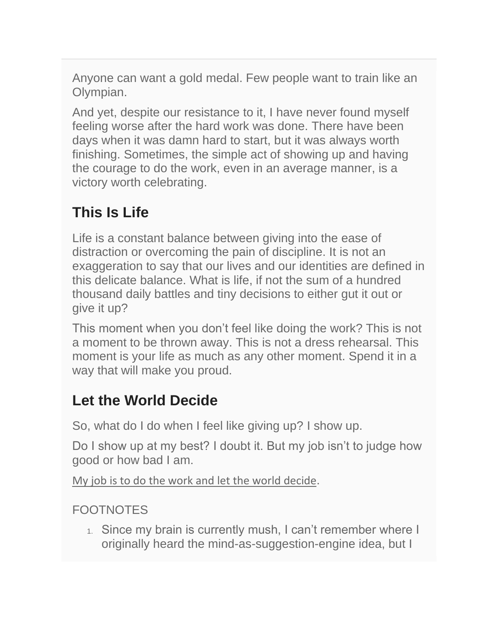Anyone can want a gold medal. Few people want to train like an Olympian.

And yet, despite our resistance to it, I have never found myself feeling worse after the hard work was done. There have been days when it was damn hard to start, but it was always worth finishing. Sometimes, the simple act of showing up and having the courage to do the work, even in an average manner, is a victory worth celebrating.

# **This Is Life**

Life is a constant balance between giving into the ease of distraction or overcoming the pain of discipline. It is not an exaggeration to say that our lives and our identities are defined in this delicate balance. What is life, if not the sum of a hundred thousand daily battles and tiny decisions to either gut it out or give it up?

This moment when you don't feel like doing the work? This is not a moment to be thrown away. This is not a dress rehearsal. This moment is your life as much as any other moment. Spend it in a way that will make you proud.

# **Let the World Decide**

So, what do I do when I feel like giving up? I show up.

Do I show up at my best? I doubt it. But my job isn't to judge how good or how bad I am.

[My job is to do the work and let the world decide](https://spworkforce.us12.list-manage.com/track/click?u=385d6e09e627cad3fffc9d93f&id=b481b3731f&e=516b2a2ead).

#### **FOOTNOTES**

1. Since my brain is currently mush, I can't remember where I originally heard the mind-as-suggestion-engine idea, but I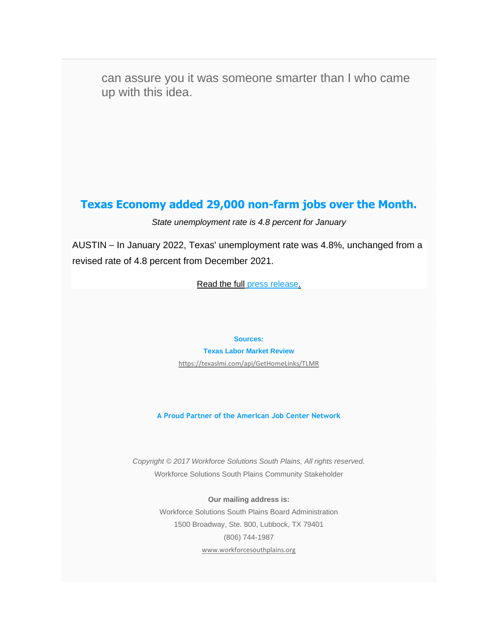can assure you it was someone smarter than I who came up with this idea.

#### **Texas Economy added 29,000 non-farm jobs over the Month.**

#### *State unemployment rate is 4.8 percent for January*

AUSTIN - In January 2022, Texas' unemployment rate was 4.8%, unchanged from a revised rate of 4.8 percent from December 2021.

[Read the full](https://spworkforce.us12.list-manage.com/track/click?u=385d6e09e627cad3fffc9d93f&id=67929c021d&e=516b2a2ead) [press release](https://spworkforce.us12.list-manage.com/track/click?u=385d6e09e627cad3fffc9d93f&id=43e755db82&e=516b2a2ead)[.](https://spworkforce.us12.list-manage.com/track/click?u=385d6e09e627cad3fffc9d93f&id=d4af48876d&e=516b2a2ead)

**Sources:**

**Texas Labor Market Review** 

[https://texaslmi.com/api/GetHomeLinks/TLMR](https://spworkforce.us12.list-manage.com/track/click?u=385d6e09e627cad3fffc9d93f&id=745049482f&e=516b2a2ead)

**A Proud Partner of the American Job Center Network**

*Copyright © 2017 Workforce Solutions South Plains, All rights reserved.* Workforce Solutions South Plains Community Stakeholder

> **Our mailing address is:** Workforce Solutions South Plains Board Administration 1500 Broadway, Ste. 800, Lubbock, TX 79401 (806) 744-1987 [www.workforcesouthplains.org](https://spworkforce.us12.list-manage.com/track/click?u=385d6e09e627cad3fffc9d93f&id=b4ce13814d&e=516b2a2ead)